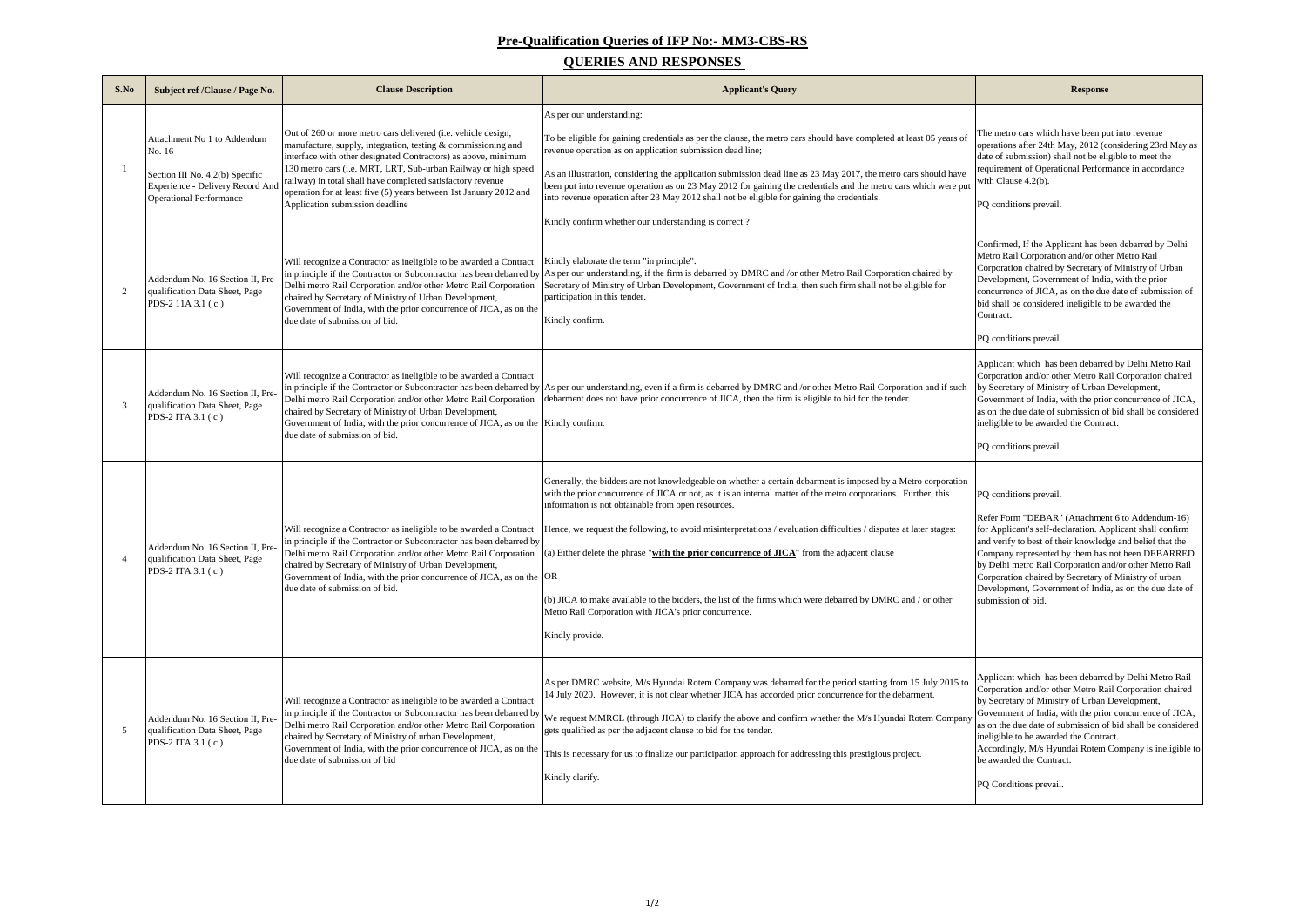Applicant which has been debarred by Delhi Metro Rail orporation and/or other Metro Rail Corporation chaired by Secretary of Ministry of Urban Development,

overnment of India, with the prior concurrence of JICA, on the due date of submission of bid shall be considered eligible to be awarded the Contract.

efer Form "DEBAR" (Attachment 6 to Addendum-16) : Applicant's self-declaration. Applicant shall confirm and verify to best of their knowledge and belief that the ompany represented by them has not been DEBARRED by Delhi metro Rail Corporation and/or other Metro Rail provation chaired by Secretary of Ministry of urban evelopment, Government of India, as on the due date of bmission of bid.

| S.No | Subject ref /Clause / Page No.                                                                                                                 | <b>Clause Description</b>                                                                                                                                                                                                                                                                                                                                                                                                                  | <b>Applicant's Query</b>                                                                                                                                                                                                                                                                                                                                                                                                                                                                                                                                                                                                                                                                                 | <b>Response</b>                                                                                                                                                                                                                                                                                                        |
|------|------------------------------------------------------------------------------------------------------------------------------------------------|--------------------------------------------------------------------------------------------------------------------------------------------------------------------------------------------------------------------------------------------------------------------------------------------------------------------------------------------------------------------------------------------------------------------------------------------|----------------------------------------------------------------------------------------------------------------------------------------------------------------------------------------------------------------------------------------------------------------------------------------------------------------------------------------------------------------------------------------------------------------------------------------------------------------------------------------------------------------------------------------------------------------------------------------------------------------------------------------------------------------------------------------------------------|------------------------------------------------------------------------------------------------------------------------------------------------------------------------------------------------------------------------------------------------------------------------------------------------------------------------|
|      | Attachment No 1 to Addendum<br>No. 16<br>Section III No. 4.2(b) Specific<br>Experience - Delivery Record And<br><b>Operational Performance</b> | Out of 260 or more metro cars delivered (i.e. vehicle design,<br>manufacture, supply, integration, testing & commissioning and<br>interface with other designated Contractors) as above, minimum<br>130 metro cars (i.e. MRT, LRT, Sub-urban Railway or high speed<br>railway) in total shall have completed satisfactory revenue<br>operation for at least five (5) years between 1st January 2012 and<br>Application submission deadline | As per our understanding:<br>To be eligible for gaining credentials as per the clause, the metro cars should have completed at least 05 years of<br>revenue operation as on application submission dead line;<br>As an illustration, considering the application submission dead line as 23 May 2017, the metro cars should have<br>been put into revenue operation as on 23 May 2012 for gaining the credentials and the metro cars which were put<br>into revenue operation after 23 May 2012 shall not be eligible for gaining the credentials.<br>Kindly confirm whether our understanding is correct?                                                                                               | The metro cars which have been p<br>operations after 24th May, 2012 (c<br>date of submission) shall not be eli<br>requirement of Operational Perfor<br>with Clause 4.2(b).<br>PQ conditions prevail.                                                                                                                   |
| 2    | Addendum No. 16 Section II, Pre-<br>qualification Data Sheet, Page<br>PDS-2 11A 3.1 (c)                                                        | Will recognize a Contractor as ineligible to be awarded a Contract<br>Delhi metro Rail Corporation and/or other Metro Rail Corporation<br>chaired by Secretary of Ministry of Urban Development,<br>Government of India, with the prior concurrence of JICA, as on the<br>due date of submission of bid.                                                                                                                                   | Kindly elaborate the term "in principle".<br>in principle if the Contractor or Subcontractor has been debarred by $ $ As per our understanding, if the firm is debarred by DMRC and /or other Metro Rail Corporation chaired by<br>Secretary of Ministry of Urban Development, Government of India, then such firm shall not be eligible for<br>participation in this tender.<br>Kindly confirm.                                                                                                                                                                                                                                                                                                         | Confirmed, If the Applicant has be<br>Metro Rail Corporation and/or oth<br>Corporation chaired by Secretary o<br>Development, Government of Indi<br>concurrence of JICA, as on the due<br>bid shall be considered ineligible t<br>Contract.<br>PQ conditions prevail.                                                  |
| 3    | Addendum No. 16 Section II, Pre-<br>qualification Data Sheet, Page<br>PDS-2 ITA 3.1 (c)                                                        | Will recognize a Contractor as ineligible to be awarded a Contract<br>Delhi metro Rail Corporation and/or other Metro Rail Corporation<br>chaired by Secretary of Ministry of Urban Development,<br>Government of India, with the prior concurrence of JICA, as on the Kindly confirm.<br>due date of submission of bid.                                                                                                                   | in principle if the Contractor or Subcontractor has been debarred by As per our understanding, even if a firm is debarred by DMRC and /or other Metro Rail Corporation and if such<br>debarment does not have prior concurrence of JICA, then the firm is eligible to bid for the tender.                                                                                                                                                                                                                                                                                                                                                                                                                | Applicant which has been debarre<br>Corporation and/or other Metro Ra<br>by Secretary of Ministry of Urban<br>Government of India, with the pric<br>as on the due date of submission of<br>ineligible to be awarded the Contra<br>PQ conditions prevail.                                                               |
|      | Addendum No. 16 Section II, Pre-<br>qualification Data Sheet, Page<br>PDS-2 ITA 3.1 (c)                                                        | Will recognize a Contractor as ineligible to be awarded a Contract<br>in principle if the Contractor or Subcontractor has been debarred by<br>Delhi metro Rail Corporation and/or other Metro Rail Corporation<br>chaired by Secretary of Ministry of Urban Development,<br>Government of India, with the prior concurrence of JICA, as on the $OR$<br>due date of submission of bid.                                                      | Generally, the bidders are not knowledgeable on whether a certain debarment is imposed by a Metro corporation<br>with the prior concurrence of JICA or not, as it is an internal matter of the metro corporations. Further, this<br>information is not obtainable from open resources.<br>Hence, we request the following, to avoid misinterpretations / evaluation difficulties / disputes at later stages:<br>(a) Either delete the phrase "with the prior concurrence of $JICA$ " from the adjacent clause<br>(b) JICA to make available to the bidders, the list of the firms which were debarred by DMRC and / or other<br>Metro Rail Corporation with JICA's prior concurrence.<br>Kindly provide. | PQ conditions prevail.<br>Refer Form "DEBAR" (Attachmer<br>for Applicant's self-declaration. A<br>and verify to best of their knowled<br>Company represented by them has<br>by Delhi metro Rail Corporation a<br>Corporation chaired by Secretary o<br>Development, Government of Indi<br>submission of bid.           |
| -5   | Addendum No. 16 Section II, Pre-<br>qualification Data Sheet, Page<br>PDS-2 ITA 3.1 (c)                                                        | Will recognize a Contractor as ineligible to be awarded a Contract<br>Delhi metro Rail Corporation and/or other Metro Rail Corporation<br>chaired by Secretary of Ministry of urban Development,<br>Government of India, with the prior concurrence of JICA, as on the<br>due date of submission of bid                                                                                                                                    | As per DMRC website, M/s Hyundai Rotem Company was debarred for the period starting from 15 July 2015 to<br>14 July 2020. However, it is not clear whether JICA has accorded prior concurrence for the debarment.<br>in principle if the Contractor or Subcontractor has been debarred by $\sqrt{W}$ we request MMRCL (through JICA) to clarify the above and confirm whether the M/s Hyundai Rotem Company<br>gets qualified as per the adjacent clause to bid for the tender.<br>This is necessary for us to finalize our participation approach for addressing this prestigious project.<br>Kindly clarify.                                                                                           | Applicant which has been debarre<br>Corporation and/or other Metro Ra<br>by Secretary of Ministry of Urban<br>Government of India, with the pric<br>as on the due date of submission of<br>ineligible to be awarded the Contra<br>Accordingly, M/s Hyundai Rotem<br>be awarded the Contract.<br>PQ Conditions prevail. |

Applicant which has been debarred by Delhi Metro Rail orporation and/or other Metro Rail Corporation chaired by Secretary of Ministry of Urban Development,

overnment of India, with the prior concurrence of JICA, on the due date of submission of bid shall be considered eligible to be awarded the Contract.

ccordingly, M/s Hyundai Rotem Company is ineligible to awarded the Contract.

## **Pre-Qualification Queries of IFP No:- MM3-CBS-RS**

## **QUERIES AND RESPONSES**

he metro cars which have been put into revenue operations after 24th May, 2012 (considering 23rd May as te of submission) shall not be eligible to meet the quirement of Operational Performance in accordance ith Clause  $4.2(b)$ .

onfirmed, If the Applicant has been debarred by Delhi etro Rail Corporation and/or other Metro Rail Corporation chaired by Secretary of Ministry of Urban evelopment, Government of India, with the prior ncurrence of JICA, as on the due date of submission of I shall be considered ineligible to be awarded the ontract.